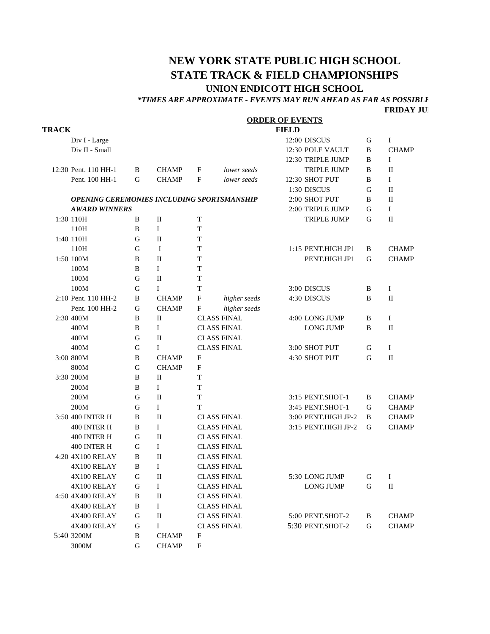# **NEW YORK STATE PUBLIC HIGH SCHOOL STATE TRACK & FIELD CHAMPIONSHIPS UNION ENDICOTT HIGH SCHOOL**

### *\*TIMES ARE APPROXIMATE - EVENTS MAY RUN AHEAD AS FAR AS POSSIBLE*

**FRIDAY JUNE** 

|              |                                                   |   |              |                           | <b>ORDER OF EVENTS</b> |  |                     |             |              |  |
|--------------|---------------------------------------------------|---|--------------|---------------------------|------------------------|--|---------------------|-------------|--------------|--|
| <b>TRACK</b> |                                                   |   |              |                           | <b>FIELD</b>           |  |                     |             |              |  |
|              | Div I - Large                                     |   |              |                           |                        |  | 12:00 DISCUS        | G           | I            |  |
|              | Div II - Small                                    |   |              |                           |                        |  | 12:30 POLE VAULT    | B           | <b>CHAMP</b> |  |
|              |                                                   |   |              |                           |                        |  | 12:30 TRIPLE JUMP   | B           | I            |  |
|              | 12:30 Pent. 110 HH-1                              | B | <b>CHAMP</b> | F                         | lower seeds            |  | <b>TRIPLE JUMP</b>  | B           | H            |  |
|              | Pent. 100 HH-1                                    | G | <b>CHAMP</b> | $\mathbf{F}$              | lower seeds            |  | 12:30 SHOT PUT      | B           | I            |  |
|              |                                                   |   |              |                           |                        |  | 1:30 DISCUS         | G           | $\mathbf{I}$ |  |
|              | <b>OPENING CEREMONIES INCLUDING SPORTSMANSHIP</b> |   |              |                           |                        |  | 2:00 SHOT PUT       | B           | $\mathbf{I}$ |  |
|              | <b>AWARD WINNERS</b>                              |   |              |                           |                        |  | 2:00 TRIPLE JUMP    | G           | Ι            |  |
|              | 1:30 110H                                         | B | П            | T                         |                        |  | <b>TRIPLE JUMP</b>  | G           | $\mathbf{I}$ |  |
|              | 110H                                              | B | Ι            | T                         |                        |  |                     |             |              |  |
|              | 1:40 110H                                         | G | П            | T                         |                        |  |                     |             |              |  |
|              | 110H                                              | G | I            | T                         |                        |  | 1:15 PENT.HIGH JP1  | B           | <b>CHAMP</b> |  |
|              | 1:50 100M                                         | B | $\mathbf{I}$ | T                         |                        |  | PENT.HIGH JP1       | G           | <b>CHAMP</b> |  |
|              | 100M                                              | B | $\mathbf I$  | T                         |                        |  |                     |             |              |  |
|              | 100M                                              | G | $\mathbf{I}$ | T                         |                        |  |                     |             |              |  |
|              | 100M                                              | G | L            | T                         |                        |  | 3:00 DISCUS         | B           | Ι            |  |
|              | 2:10 Pent. 110 HH-2                               | B | <b>CHAMP</b> | $\mathbf F$               | higher seeds           |  | 4:30 DISCUS         | B           | П            |  |
|              | Pent. 100 HH-2                                    | G | <b>CHAMP</b> | $\mathbf F$               | higher seeds           |  |                     |             |              |  |
|              | 2:30 400M                                         | B | П            |                           | <b>CLASS FINAL</b>     |  | 4:00 LONG JUMP      | B           | $\mathbf I$  |  |
|              | 400M                                              | B | $\mathbf{I}$ |                           | <b>CLASS FINAL</b>     |  | <b>LONG JUMP</b>    | B           | $\mathbf{I}$ |  |
|              | 400M                                              | G | $\mathbf{I}$ | <b>CLASS FINAL</b>        |                        |  |                     |             |              |  |
|              | 400M                                              | G | $\mathbf{I}$ |                           | <b>CLASS FINAL</b>     |  | 3:00 SHOT PUT       | G           | $\mathbf I$  |  |
|              | 3:00 800M                                         | B | <b>CHAMP</b> | F                         |                        |  | 4:30 SHOT PUT       | G           | $\mathbf{I}$ |  |
|              | 800M                                              | G | <b>CHAMP</b> | F                         |                        |  |                     |             |              |  |
|              | 3:30 200M                                         | B | $\mathbf{I}$ | T                         |                        |  |                     |             |              |  |
|              | 200M                                              | B | L            | T                         |                        |  |                     |             |              |  |
|              | 200M                                              | G | $\mathbf{I}$ | T                         |                        |  | 3:15 PENT.SHOT-1    | B           | <b>CHAMP</b> |  |
|              | 200M                                              | G | L            | T                         |                        |  | 3:45 PENT.SHOT-1    | G           | <b>CHAMP</b> |  |
|              | 3:50 400 INTER H                                  | B | $\mathbf{I}$ |                           | <b>CLASS FINAL</b>     |  | 3:00 PENT.HIGH JP-2 | B           | <b>CHAMP</b> |  |
|              | 400 INTER H                                       | B | I            | <b>CLASS FINAL</b>        |                        |  | 3:15 PENT.HIGH JP-2 | G           | <b>CHAMP</b> |  |
|              | 400 INTER H                                       | G | П            |                           | <b>CLASS FINAL</b>     |  |                     |             |              |  |
|              | 400 INTER H                                       | G | I            |                           | <b>CLASS FINAL</b>     |  |                     |             |              |  |
|              | 4:20 4X100 RELAY                                  | B | $\mathbf{I}$ |                           | <b>CLASS FINAL</b>     |  |                     |             |              |  |
|              | 4X100 RELAY                                       | B | I            |                           | <b>CLASS FINAL</b>     |  |                     |             |              |  |
|              | 4X100 RELAY                                       | G | П            |                           | <b>CLASS FINAL</b>     |  | 5:30 LONG JUMP      | G           | $\bf{I}$     |  |
|              | 4X100 RELAY                                       | G | I            |                           | <b>CLASS FINAL</b>     |  | <b>LONG JUMP</b>    | $\mathbf G$ | $\mathbf{I}$ |  |
|              | 4:50 4X400 RELAY                                  | B | П            |                           | <b>CLASS FINAL</b>     |  |                     |             |              |  |
|              | 4X400 RELAY                                       | B | I            |                           | <b>CLASS FINAL</b>     |  |                     |             |              |  |
|              | 4X400 RELAY                                       | G | $\rm II$     |                           | <b>CLASS FINAL</b>     |  | 5:00 PENT.SHOT-2    | B           | <b>CHAMP</b> |  |
|              | 4X400 RELAY                                       | G | $\mathbf I$  |                           | <b>CLASS FINAL</b>     |  | 5:30 PENT.SHOT-2    | G           | <b>CHAMP</b> |  |
|              | 5:40 3200M                                        | B | <b>CHAMP</b> | F                         |                        |  |                     |             |              |  |
|              | 3000M                                             | G | <b>CHAMP</b> | $\boldsymbol{\mathrm{F}}$ |                        |  |                     |             |              |  |
|              |                                                   |   |              |                           |                        |  |                     |             |              |  |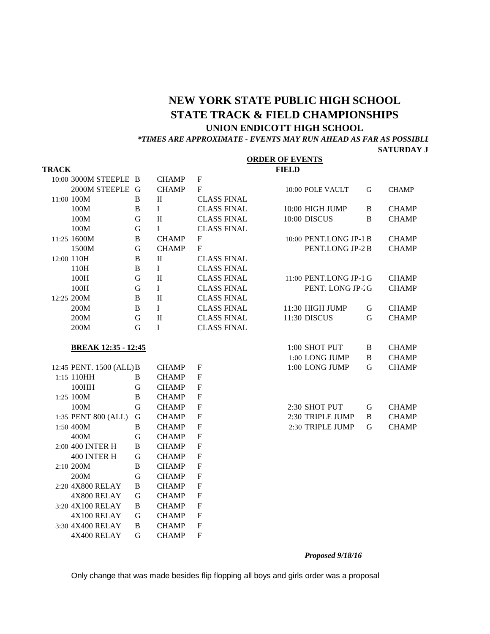# **NEW YORK STATE PUBLIC HIGH SCHOOL STATE TRACK & FIELD CHAMPIONSHIPS**

## **UNION ENDICOTT HIGH SCHOOL**

*\*TIMES ARE APPROXIMATE - EVENTS MAY RUN AHEAD AS FAR AS POSSIBLE*

#### **SATURDAY J**

| <b>FIELD</b><br><b>TRACK</b><br>10:00 3000M STEEPLE B<br><b>CHAMP</b><br>$\boldsymbol{\mathrm{F}}$<br>2000M STEEPLE G<br>F<br><b>CHAMP</b><br>10:00 POLE VAULT<br>G<br>11:00 100M<br>B<br>$\mathbf{I}$<br><b>CLASS FINAL</b><br>$\mathbf I$<br><b>CLASS FINAL</b><br>10:00 HIGH JUMP<br>100M<br>B<br>B<br>100M<br>$\rm II$<br><b>CLASS FINAL</b><br>10:00 DISCUS<br>B<br>G<br>100M<br>G<br>$\mathbf{I}$<br><b>CLASS FINAL</b><br>10:00 PENT.LONG JP-1 B<br>11:25 1600M<br>B<br><b>CHAMP</b><br>F<br>${\bf G}$<br><b>CHAMP</b><br>PENT.LONG JP-2 B<br>1500M<br>F<br>12:00 110H<br>B<br>П<br><b>CLASS FINAL</b><br>$110H$<br><b>CLASS FINAL</b><br>B<br>L<br>G<br>$\mathbf{I}$<br><b>CLASS FINAL</b><br>100H<br>11:00 PENT.LONG JP-1 G<br>${\bf G}$<br>$\mathbf{I}$<br><b>CLASS FINAL</b><br>PENT. LONG JP-2G<br>100H<br>$\mathbf{I}$<br><b>CLASS FINAL</b><br>12:25 200M<br>B<br>200M<br>B<br>$\mathbf{I}$<br><b>CLASS FINAL</b><br>11:30 HIGH JUMP<br>G<br>$\mathbf G$<br>200M<br>$\mathbf{I}$<br><b>CLASS FINAL</b><br>11:30 DISCUS<br>G<br>$\mathbf I$<br><b>CLASS FINAL</b><br>200M<br>G |  |  |  |  | <b>ORDER OF EVENTS</b> |  |              |
|---------------------------------------------------------------------------------------------------------------------------------------------------------------------------------------------------------------------------------------------------------------------------------------------------------------------------------------------------------------------------------------------------------------------------------------------------------------------------------------------------------------------------------------------------------------------------------------------------------------------------------------------------------------------------------------------------------------------------------------------------------------------------------------------------------------------------------------------------------------------------------------------------------------------------------------------------------------------------------------------------------------------------------------------------------------------------------------------|--|--|--|--|------------------------|--|--------------|
|                                                                                                                                                                                                                                                                                                                                                                                                                                                                                                                                                                                                                                                                                                                                                                                                                                                                                                                                                                                                                                                                                             |  |  |  |  |                        |  |              |
|                                                                                                                                                                                                                                                                                                                                                                                                                                                                                                                                                                                                                                                                                                                                                                                                                                                                                                                                                                                                                                                                                             |  |  |  |  |                        |  |              |
|                                                                                                                                                                                                                                                                                                                                                                                                                                                                                                                                                                                                                                                                                                                                                                                                                                                                                                                                                                                                                                                                                             |  |  |  |  |                        |  | <b>CHAMP</b> |
|                                                                                                                                                                                                                                                                                                                                                                                                                                                                                                                                                                                                                                                                                                                                                                                                                                                                                                                                                                                                                                                                                             |  |  |  |  |                        |  |              |
|                                                                                                                                                                                                                                                                                                                                                                                                                                                                                                                                                                                                                                                                                                                                                                                                                                                                                                                                                                                                                                                                                             |  |  |  |  |                        |  | <b>CHAMP</b> |
|                                                                                                                                                                                                                                                                                                                                                                                                                                                                                                                                                                                                                                                                                                                                                                                                                                                                                                                                                                                                                                                                                             |  |  |  |  |                        |  | <b>CHAMP</b> |
|                                                                                                                                                                                                                                                                                                                                                                                                                                                                                                                                                                                                                                                                                                                                                                                                                                                                                                                                                                                                                                                                                             |  |  |  |  |                        |  |              |
|                                                                                                                                                                                                                                                                                                                                                                                                                                                                                                                                                                                                                                                                                                                                                                                                                                                                                                                                                                                                                                                                                             |  |  |  |  |                        |  | <b>CHAMP</b> |
|                                                                                                                                                                                                                                                                                                                                                                                                                                                                                                                                                                                                                                                                                                                                                                                                                                                                                                                                                                                                                                                                                             |  |  |  |  |                        |  | <b>CHAMP</b> |
|                                                                                                                                                                                                                                                                                                                                                                                                                                                                                                                                                                                                                                                                                                                                                                                                                                                                                                                                                                                                                                                                                             |  |  |  |  |                        |  |              |
|                                                                                                                                                                                                                                                                                                                                                                                                                                                                                                                                                                                                                                                                                                                                                                                                                                                                                                                                                                                                                                                                                             |  |  |  |  |                        |  |              |
|                                                                                                                                                                                                                                                                                                                                                                                                                                                                                                                                                                                                                                                                                                                                                                                                                                                                                                                                                                                                                                                                                             |  |  |  |  |                        |  | <b>CHAMP</b> |
|                                                                                                                                                                                                                                                                                                                                                                                                                                                                                                                                                                                                                                                                                                                                                                                                                                                                                                                                                                                                                                                                                             |  |  |  |  |                        |  | <b>CHAMP</b> |
|                                                                                                                                                                                                                                                                                                                                                                                                                                                                                                                                                                                                                                                                                                                                                                                                                                                                                                                                                                                                                                                                                             |  |  |  |  |                        |  |              |
|                                                                                                                                                                                                                                                                                                                                                                                                                                                                                                                                                                                                                                                                                                                                                                                                                                                                                                                                                                                                                                                                                             |  |  |  |  |                        |  | <b>CHAMP</b> |
|                                                                                                                                                                                                                                                                                                                                                                                                                                                                                                                                                                                                                                                                                                                                                                                                                                                                                                                                                                                                                                                                                             |  |  |  |  |                        |  | <b>CHAMP</b> |
|                                                                                                                                                                                                                                                                                                                                                                                                                                                                                                                                                                                                                                                                                                                                                                                                                                                                                                                                                                                                                                                                                             |  |  |  |  |                        |  |              |
| 1:00 SHOT PUT<br><b>BREAK 12:35 - 12:45</b><br>B                                                                                                                                                                                                                                                                                                                                                                                                                                                                                                                                                                                                                                                                                                                                                                                                                                                                                                                                                                                                                                            |  |  |  |  |                        |  | <b>CHAMP</b> |
| 1:00 LONG JUMP<br>B                                                                                                                                                                                                                                                                                                                                                                                                                                                                                                                                                                                                                                                                                                                                                                                                                                                                                                                                                                                                                                                                         |  |  |  |  |                        |  | <b>CHAMP</b> |
| 12:45 PENT. 1500 (ALL) B<br><b>CHAMP</b><br>F<br>1:00 LONG JUMP<br>G                                                                                                                                                                                                                                                                                                                                                                                                                                                                                                                                                                                                                                                                                                                                                                                                                                                                                                                                                                                                                        |  |  |  |  |                        |  | <b>CHAMP</b> |
| 1:15 110HH<br>B<br><b>CHAMP</b><br>F                                                                                                                                                                                                                                                                                                                                                                                                                                                                                                                                                                                                                                                                                                                                                                                                                                                                                                                                                                                                                                                        |  |  |  |  |                        |  |              |
| 100HH<br>$\mathbf G$<br><b>CHAMP</b><br>F                                                                                                                                                                                                                                                                                                                                                                                                                                                                                                                                                                                                                                                                                                                                                                                                                                                                                                                                                                                                                                                   |  |  |  |  |                        |  |              |
| 1:25 100M<br>F<br>B<br><b>CHAMP</b>                                                                                                                                                                                                                                                                                                                                                                                                                                                                                                                                                                                                                                                                                                                                                                                                                                                                                                                                                                                                                                                         |  |  |  |  |                        |  |              |
| 100M<br>G<br><b>CHAMP</b><br>F<br>2:30 SHOT PUT<br>G                                                                                                                                                                                                                                                                                                                                                                                                                                                                                                                                                                                                                                                                                                                                                                                                                                                                                                                                                                                                                                        |  |  |  |  |                        |  | <b>CHAMP</b> |
| 1:35 PENT 800 (ALL)<br>2:30 TRIPLE JUMP<br>G<br><b>CHAMP</b><br>F<br>B                                                                                                                                                                                                                                                                                                                                                                                                                                                                                                                                                                                                                                                                                                                                                                                                                                                                                                                                                                                                                      |  |  |  |  |                        |  | <b>CHAMP</b> |
| 1:50 400M<br>${\bf F}$<br>2:30 TRIPLE JUMP<br>B<br><b>CHAMP</b><br>G                                                                                                                                                                                                                                                                                                                                                                                                                                                                                                                                                                                                                                                                                                                                                                                                                                                                                                                                                                                                                        |  |  |  |  |                        |  | <b>CHAMP</b> |
| 400M<br>$\mathbf G$<br><b>CHAMP</b><br>$\mathbf F$                                                                                                                                                                                                                                                                                                                                                                                                                                                                                                                                                                                                                                                                                                                                                                                                                                                                                                                                                                                                                                          |  |  |  |  |                        |  |              |
| $\mathbf F$<br>2:00 400 INTER H<br>B<br><b>CHAMP</b>                                                                                                                                                                                                                                                                                                                                                                                                                                                                                                                                                                                                                                                                                                                                                                                                                                                                                                                                                                                                                                        |  |  |  |  |                        |  |              |
| 400 INTER H<br>G<br><b>CHAMP</b><br>F                                                                                                                                                                                                                                                                                                                                                                                                                                                                                                                                                                                                                                                                                                                                                                                                                                                                                                                                                                                                                                                       |  |  |  |  |                        |  |              |
| 2:10 200M<br>${\bf F}$<br>$\, {\bf B}$<br><b>CHAMP</b>                                                                                                                                                                                                                                                                                                                                                                                                                                                                                                                                                                                                                                                                                                                                                                                                                                                                                                                                                                                                                                      |  |  |  |  |                        |  |              |
| 200M<br>G<br><b>CHAMP</b><br>F                                                                                                                                                                                                                                                                                                                                                                                                                                                                                                                                                                                                                                                                                                                                                                                                                                                                                                                                                                                                                                                              |  |  |  |  |                        |  |              |
| 2:20 4X800 RELAY<br><b>CHAMP</b><br>$\boldsymbol{\mathrm{F}}$<br>B                                                                                                                                                                                                                                                                                                                                                                                                                                                                                                                                                                                                                                                                                                                                                                                                                                                                                                                                                                                                                          |  |  |  |  |                        |  |              |
| 4X800 RELAY<br>G<br><b>CHAMP</b><br>F                                                                                                                                                                                                                                                                                                                                                                                                                                                                                                                                                                                                                                                                                                                                                                                                                                                                                                                                                                                                                                                       |  |  |  |  |                        |  |              |
| 3:20 4X100 RELAY<br>B<br><b>CHAMP</b><br>F                                                                                                                                                                                                                                                                                                                                                                                                                                                                                                                                                                                                                                                                                                                                                                                                                                                                                                                                                                                                                                                  |  |  |  |  |                        |  |              |
| 4X100 RELAY<br>G<br><b>CHAMP</b><br>F                                                                                                                                                                                                                                                                                                                                                                                                                                                                                                                                                                                                                                                                                                                                                                                                                                                                                                                                                                                                                                                       |  |  |  |  |                        |  |              |
| 3:30 4X400 RELAY<br>B<br>F<br><b>CHAMP</b>                                                                                                                                                                                                                                                                                                                                                                                                                                                                                                                                                                                                                                                                                                                                                                                                                                                                                                                                                                                                                                                  |  |  |  |  |                        |  |              |
| G<br>4X400 RELAY<br><b>CHAMP</b><br>F                                                                                                                                                                                                                                                                                                                                                                                                                                                                                                                                                                                                                                                                                                                                                                                                                                                                                                                                                                                                                                                       |  |  |  |  |                        |  |              |

*Proposed 9/18/16*

Only change that was made besides flip flopping all boys and girls order was a proposal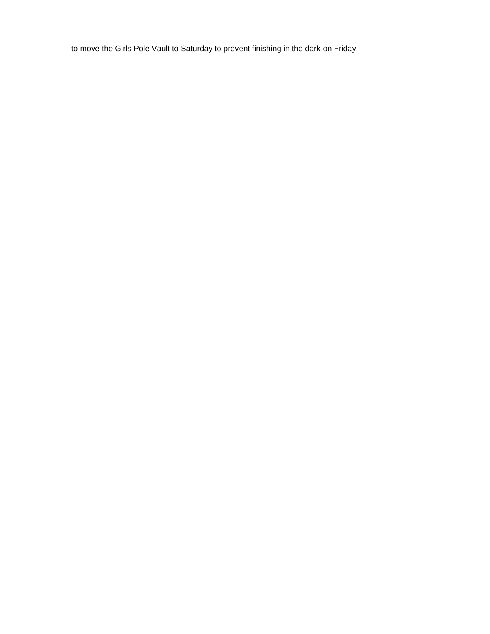to move the Girls Pole Vault to Saturday to prevent finishing in the dark on Friday.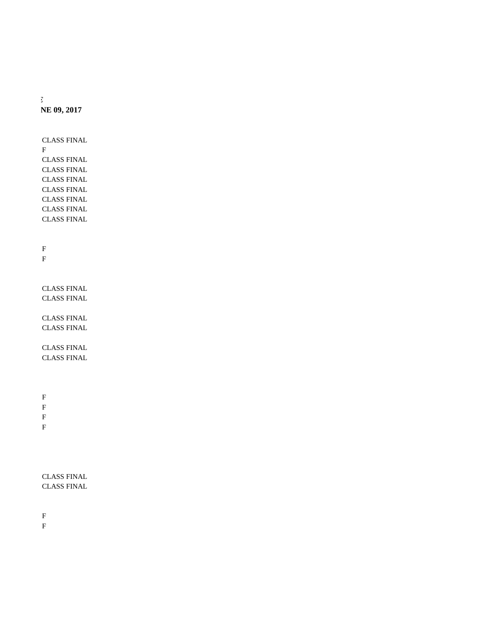*\*TIMES ARE APPROXIMATE - EVENTS MAY RUN AHEAD AS FAR AS POSSIBLE* **NE 09, 2017** 

> CLASS FINAL  $\mathbf F$ CLASS FINAL CLASS FINAL CLASS FINAL CLASS FINAL CLASS FINAL CLASS FINAL CLASS FINAL

F F

CLASS FINAL CLASS FINAL

CLASS FINAL CLASS FINAL

CLASS FINAL CLASS FINAL

F F  $\mathbf F$ 

F

CLASS FINAL CLASS FINAL

F F